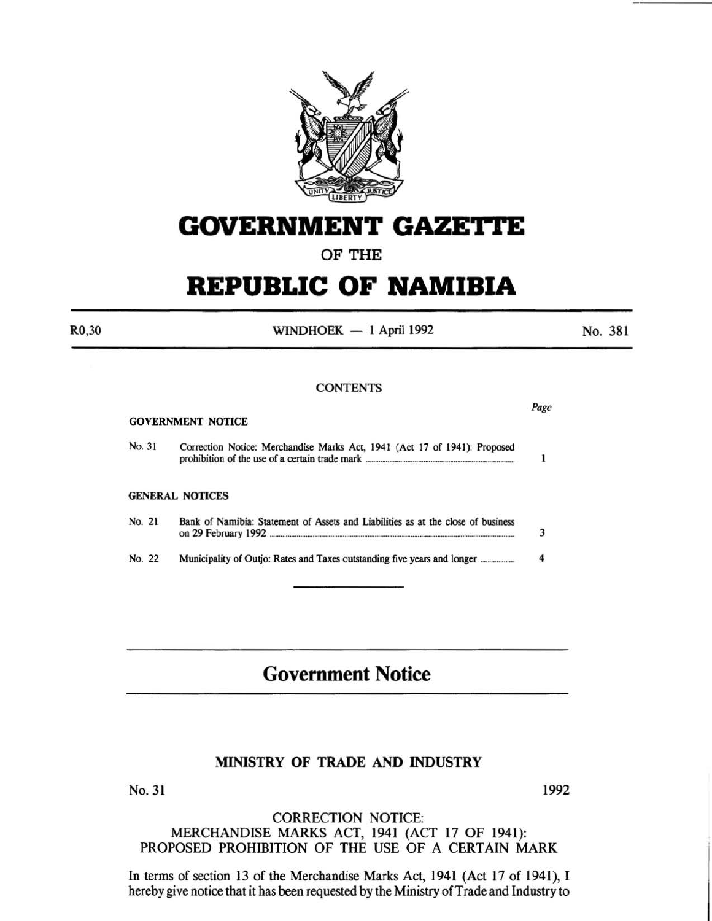

# **GOVERNMENT GAZETTE**

## OF THE

# **REPUBLIC OF NAMIBIA**

R0,30

WINDHOEK  $-1$  April 1992

No. 381

Page

 $\mathbf{I}$ 

#### **CONTENTS**

#### GOVERNMENT NOTICE

No. 31 Correction Notice: Merchandise Marks Act, 1941 (Act 17 of 1941): Proposed prohibition of the use of a certain trade mark ....

#### GENERAL NOTICES

| No. 21 | Bank of Namibia: Statement of Assets and Liabilities as at the close of business |  |
|--------|----------------------------------------------------------------------------------|--|
| No. 22 |                                                                                  |  |

## **Government Notice**

### MINISTRY OF TRADE AND INDUSTRY

No. 31 1992

#### CORRECTION NOTICE: MERCHANDISE MARKS ACT, 1941 (ACT 17 OF 1941): PROPOSED PROHIBITION OF THE USE OF A CERTAIN MARK

In terms of section 13 of the Merchandise Marks Act, 1941 (Act 17 of 1941), I hereby give notice that it has been requested by the Ministry of Trade and Industry to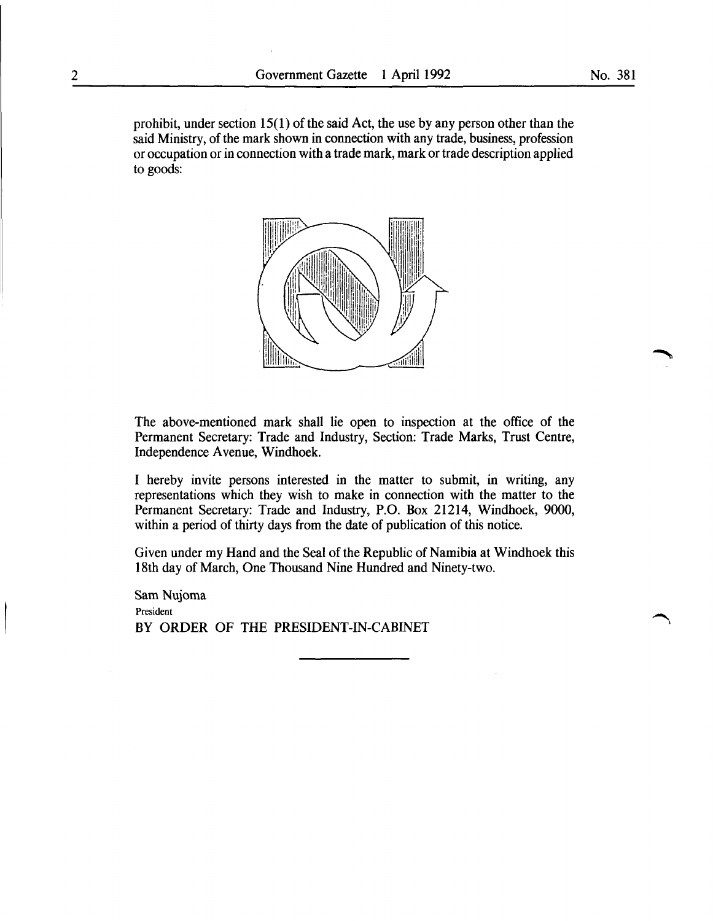prohibit, under section 15(1) of the said Act, the use by any person other than the said Ministry, of the mark shown in connection with any trade, business, profession or occupation or in connection with a trade mark, mark or trade description applied to goods:



The above-mentioned mark shall lie open to inspection at the office of the Permanent Secretary: Trade and Industry, Section: Trade Marks, Trust Centre, Independence A venue, Windhoek.

I hereby invite persons interested in the matter to submit, in writing, any representations which they wish to make in connection with the matter to the Permanent Secretary: Trade and Industry, P.O. Box 21214, Windhoek, 9000, within a period of thirty days from the date of publication of this notice.

Given under my Hand and the Seal of the Republic of Namibia at Windhoek this 18th day of March, One Thousand Nine Hundred and Ninety-two.

Sam Nujoma President BY ORDER OF THE PRESIDENT-IN-CABINET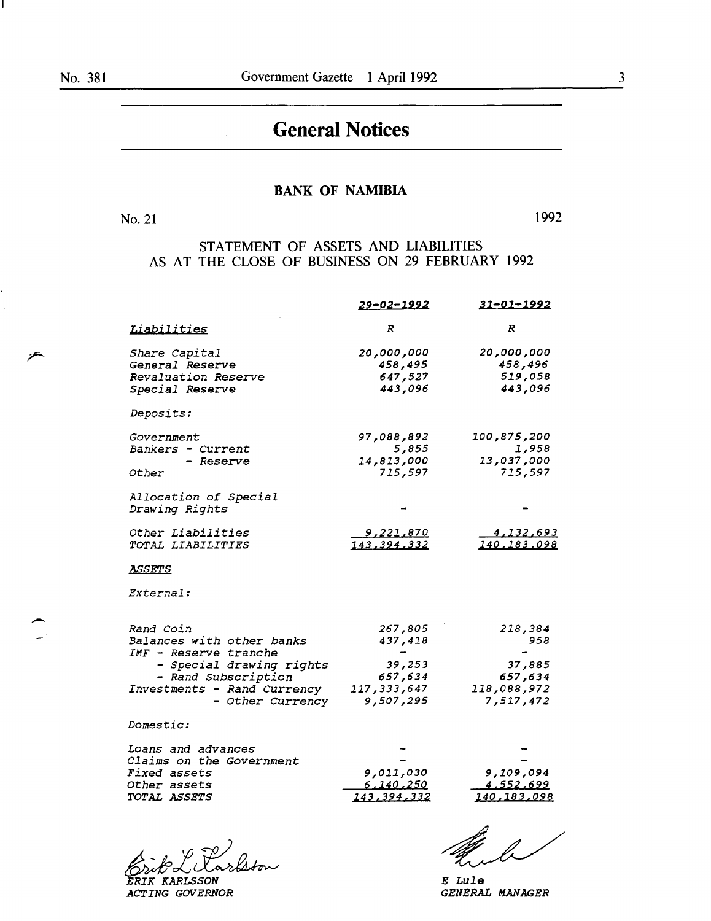-

# **General Notices**

### BANK OF NAMIBIA

No. 21 1992

STATEMENT OF ASSETS AND LIABILITIES AS AT THE CLOSE OF BUSINESS ON 29 FEBRUARY 1992

|                                                 | <u>29-02-1992</u>          | <u>31-01-1992</u>        |
|-------------------------------------------------|----------------------------|--------------------------|
| Liabilities                                     | R                          | R                        |
| Share Capital                                   | 20,000,000                 | 20,000,000               |
| General Reserve                                 | 458,495                    | 458,496                  |
| Revaluation Reserve                             | 647,527                    | 519,058                  |
| Special Reserve                                 | 443,096                    | 443,096                  |
| <i>Deposits:</i>                                |                            |                          |
| <i>Government</i>                               | 97,088,892                 | 100,875,200              |
| Bankers - Current                               | 5,855                      | 1,958                    |
| - Reserve                                       | 14,813,000                 | 13,037,000               |
| Other                                           | 715,597                    | 715,597                  |
| Allocation of Special                           |                            |                          |
| Drawing Rights                                  |                            |                          |
| Other Liabilities                               | <u>9,221,870</u>           | <u>4,132,693</u>         |
| TOTAL LIABILITIES                               | 143,394,332                | 140,183,098              |
| ASSETS                                          |                            |                          |
| <i>External:</i>                                |                            |                          |
|                                                 |                            |                          |
| Rand Coin                                       | 267,805                    | 218,384                  |
| Balances with other banks                       | 437,418                    | 958                      |
| IMF - Reserve tranche                           |                            |                          |
| - Special drawing rights                        | 39,253                     | 37,885                   |
| - Rand Subscription                             | 657,634                    | 657,634                  |
| Investments - Rand Currency<br>- Other Currency | 117, 333, 647<br>9,507,295 | 118,088,972<br>7,517,472 |
| <i>Domestic:</i>                                |                            |                          |
| Loans and advances                              |                            |                          |
| Claims on the Government                        |                            |                          |
| Fixed assets                                    | 9,011,030                  | 9,109,094                |
| Other assets                                    | <u>6,140,250</u>           | <u>4,552,699</u>         |
| <i><b>TOTAL ASSETS</b></i>                      | 143, 394, 332              | 140, 183, 098            |
|                                                 |                            |                          |

Erik L Larlston

*ACTING GOVERNOR* 

*E Lule GENERAL MANAGER*